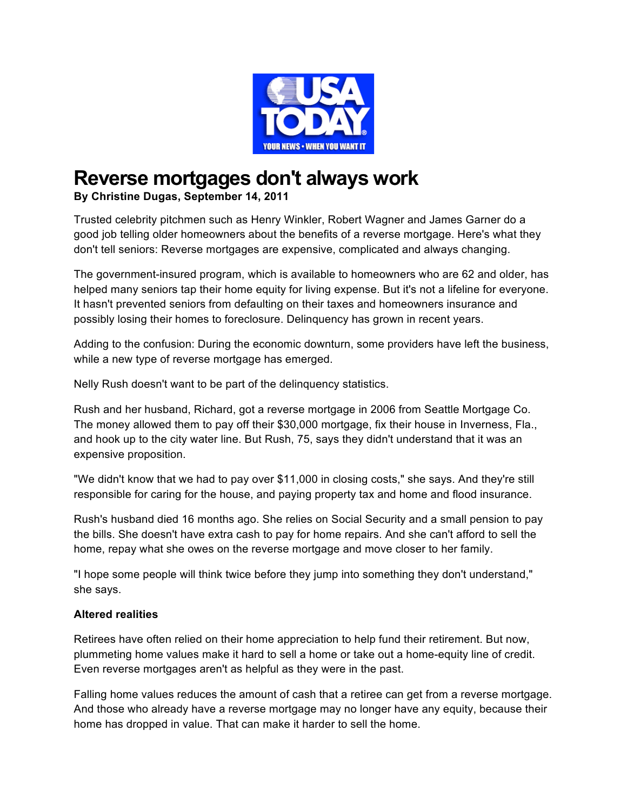

# **Reverse mortgages don't always work**

## **By Christine Dugas, September 14, 2011**

Trusted celebrity pitchmen such as Henry Winkler, Robert Wagner and James Garner do a good job telling older homeowners about the benefits of a reverse mortgage. Here's what they don't tell seniors: Reverse mortgages are expensive, complicated and always changing.

The government-insured program, which is available to homeowners who are 62 and older, has helped many seniors tap their home equity for living expense. But it's not a lifeline for everyone. It hasn't prevented seniors from defaulting on their taxes and homeowners insurance and possibly losing their homes to foreclosure. Delinquency has grown in recent years.

Adding to the confusion: During the economic downturn, some providers have left the business, while a new type of reverse mortgage has emerged.

Nelly Rush doesn't want to be part of the delinquency statistics.

Rush and her husband, Richard, got a reverse mortgage in 2006 from Seattle Mortgage Co. The money allowed them to pay off their \$30,000 mortgage, fix their house in Inverness, Fla., and hook up to the city water line. But Rush, 75, says they didn't understand that it was an expensive proposition.

"We didn't know that we had to pay over \$11,000 in closing costs," she says. And they're still responsible for caring for the house, and paying property tax and home and flood insurance.

Rush's husband died 16 months ago. She relies on Social Security and a small pension to pay the bills. She doesn't have extra cash to pay for home repairs. And she can't afford to sell the home, repay what she owes on the reverse mortgage and move closer to her family.

"I hope some people will think twice before they jump into something they don't understand," she says.

## **Altered realities**

Retirees have often relied on their home appreciation to help fund their retirement. But now, plummeting home values make it hard to sell a home or take out a home-equity line of credit. Even reverse mortgages aren't as helpful as they were in the past.

Falling home values reduces the amount of cash that a retiree can get from a reverse mortgage. And those who already have a reverse mortgage may no longer have any equity, because their home has dropped in value. That can make it harder to sell the home.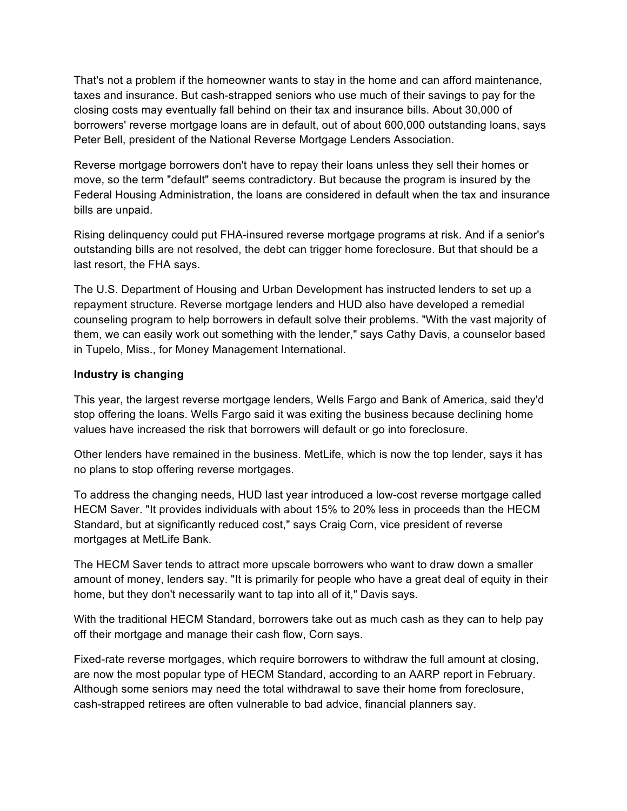That's not a problem if the homeowner wants to stay in the home and can afford maintenance, taxes and insurance. But cash-strapped seniors who use much of their savings to pay for the closing costs may eventually fall behind on their tax and insurance bills. About 30,000 of borrowers' reverse mortgage loans are in default, out of about 600,000 outstanding loans, says Peter Bell, president of the National Reverse Mortgage Lenders Association.

Reverse mortgage borrowers don't have to repay their loans unless they sell their homes or move, so the term "default" seems contradictory. But because the program is insured by the Federal Housing Administration, the loans are considered in default when the tax and insurance bills are unpaid.

Rising delinquency could put FHA-insured reverse mortgage programs at risk. And if a senior's outstanding bills are not resolved, the debt can trigger home foreclosure. But that should be a last resort, the FHA says.

The U.S. Department of Housing and Urban Development has instructed lenders to set up a repayment structure. Reverse mortgage lenders and HUD also have developed a remedial counseling program to help borrowers in default solve their problems. "With the vast majority of them, we can easily work out something with the lender," says Cathy Davis, a counselor based in Tupelo, Miss., for Money Management International.

### **Industry is changing**

This year, the largest reverse mortgage lenders, Wells Fargo and Bank of America, said they'd stop offering the loans. Wells Fargo said it was exiting the business because declining home values have increased the risk that borrowers will default or go into foreclosure.

Other lenders have remained in the business. MetLife, which is now the top lender, says it has no plans to stop offering reverse mortgages.

To address the changing needs, HUD last year introduced a low-cost reverse mortgage called HECM Saver. "It provides individuals with about 15% to 20% less in proceeds than the HECM Standard, but at significantly reduced cost," says Craig Corn, vice president of reverse mortgages at MetLife Bank.

The HECM Saver tends to attract more upscale borrowers who want to draw down a smaller amount of money, lenders say. "It is primarily for people who have a great deal of equity in their home, but they don't necessarily want to tap into all of it," Davis says.

With the traditional HECM Standard, borrowers take out as much cash as they can to help pay off their mortgage and manage their cash flow, Corn says.

Fixed-rate reverse mortgages, which require borrowers to withdraw the full amount at closing, are now the most popular type of HECM Standard, according to an AARP report in February. Although some seniors may need the total withdrawal to save their home from foreclosure, cash-strapped retirees are often vulnerable to bad advice, financial planners say.